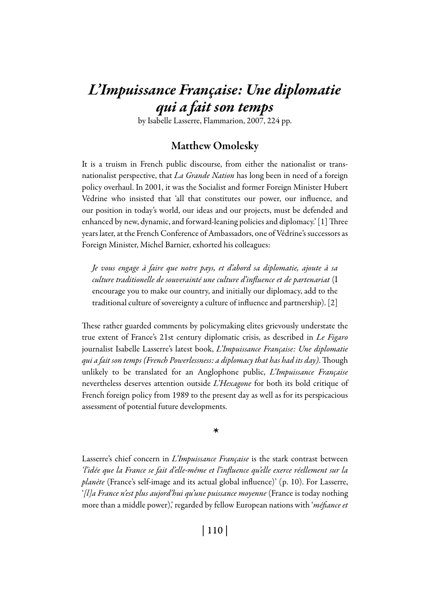# *L'Impuissance Française: Une diplomatie qui a fait son temps*

by Isabelle Lasserre, Flammarion, 2007, 224 pp.

### Matthew Omolesky

It is a truism in French public discourse, from either the nationalist or transnationalist perspective, that *La Grande Nation* has long been in need of a foreign policy overhaul. In 2001, it was the Socialist and former Foreign Minister Hubert Védrine who insisted that 'all that constitutes our power, our influence, and our position in today's world, our ideas and our projects, must be defended and enhanced by new, dynamic, and forward-leaning policies and diplomacy.' [1] Three years later, at the French Conference of Ambassadors, one of Védrine's successors as Foreign Minister, Michel Barnier, exhorted his colleagues:

*Je vous engage à faire que notre pays, et d'abord sa diplomatie, ajoute à sa culture traditionelle de souverainté une culture d'influence et de partenariat* (I encourage you to make our country, and initially our diplomacy, add to the traditional culture of sovereignty a culture of influence and partnership). [2]

These rather guarded comments by policymaking elites grievously understate the true extent of France's 21st century diplomatic crisis, as described in *Le Figaro* journalist Isabelle Lasserre's latest book, *L'Impuissance Française: Une diplomatie qui a fait son temps (French Powerlessness: a diplomacy that has had its day)*. Though unlikely to be translated for an Anglophone public, *L'Impuissance Française*  nevertheless deserves attention outside *L'Hexagone* for both its bold critique of French foreign policy from 1989 to the present day as well as for its perspicacious assessment of potential future developments.

*\**

Lasserre's chief concern in *L'Impuissance Française* is the stark contrast between *'l'idée que la France se fait d'elle-même et l'influence qu'elle exerce réellement sur la planète* (France's self-image and its actual global influence)' (p. 10). For Lasserre, '*[l]a France n'est plus aujord'hui qu'une puissance moyenne* (France is today nothing more than a middle power),' regarded by fellow European nations with '*méfiance et* 

| 110 |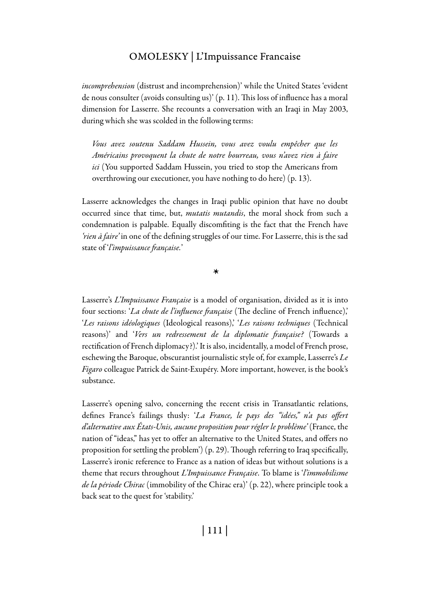*incomprehension* (distrust and incomprehension)' while the United States 'evident de nous consulter (avoids consulting us)' (p. 11). This loss of influence has a moral dimension for Lasserre. She recounts a conversation with an Iraqi in May 2003, during which she was scolded in the following terms:

*Vous avez soutenu Saddam Hussein, vous avez voulu empêcher que les Américains provoquent la chute de notre bourreau, vous n'avez rien à faire ici* (You supported Saddam Hussein, you tried to stop the Americans from overthrowing our executioner, you have nothing to do here) (p. 13).

Lasserre acknowledges the changes in Iraqi public opinion that have no doubt occurred since that time, but, *mutatis mutandis*, the moral shock from such a condemnation is palpable. Equally discomfiting is the fact that the French have *'rien à faire'* in one of the defining struggles of our time. For Lasserre, this is the sad state of '*l'impuissance française.*'

*\**

Lasserre's *L'Impuissance Française* is a model of organisation, divided as it is into four sections: '*La chute de l'influence française* (The decline of French influence),' '*Les raisons idéologiques* (Ideological reasons),' '*Les raisons techniques* (Technical reasons)' and '*Vers un redressement de la diplomatie française?* (Towards a rectification of French diplomacy?).' It is also, incidentally, a model of French prose, eschewing the Baroque, obscurantist journalistic style of, for example, Lasserre's *Le Figaro* colleague Patrick de Saint-Exupéry. More important, however, is the book's substance.

Lasserre's opening salvo, concerning the recent crisis in Transatlantic relations, defines France's failings thusly: '*La France, le pays des "idées," n'a pas offert d'alternative aux États-Unis, aucune proposition pour régler le problème'* (France, the nation of "ideas," has yet to offer an alternative to the United States, and offers no proposition for settling the problem') (p. 29). Though referring to Iraq specifically, Lasserre's ironic reference to France as a nation of ideas but without solutions is a theme that recurs throughout *L'Impuissance Française*. To blame is '*l'immobilisme de la période Chirac* (immobility of the Chirac era)' (p. 22), where principle took a back seat to the quest for 'stability.'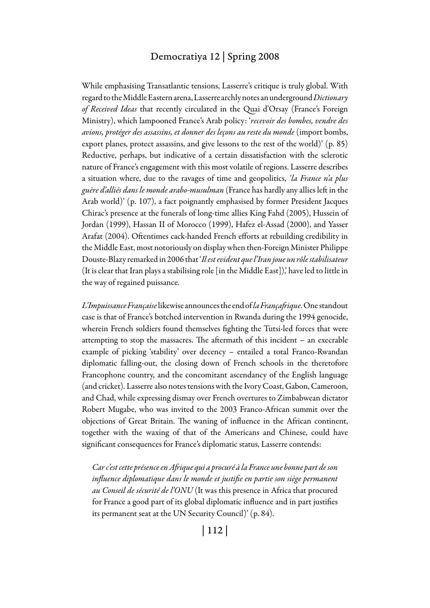#### Democratiya 12 | Spring 2008

While emphasising Transatlantic tensions, Lasserre's critique is truly global. With regard to the Middle Eastern arena, Lasserre archly notes an underground *Dictionary of Received Ideas* that recently circulated in the Quai d'Orsay (France's Foreign Ministry), which lampooned France's Arab policy: '*recevoir des bombes, vendre des avions, protéger des assassins, et donner des leçons au reste du monde* (import bombs, export planes, protect assassins, and give lessons to the rest of the world)' (p. 85) Reductive, perhaps, but indicative of a certain dissatisfaction with the sclerotic nature of France's engagement with this most volatile of regions. Lasserre describes a situation where, due to the ravages of time and geopolitics, *'la France n'a plus guère d'alliés dans le monde arabo-musulman* (France has hardly any allies left in the Arab world)' (p. 107), a fact poignantly emphasised by former President Jacques Chirac's presence at the funerals of long-time allies King Fahd (2005), Hussein of Jordan (1999), Hassan II of Morocco (1999), Hafez el-Assad (2000), and Yasser Arafat (2004). Oftentimes cack-handed French efforts at rebuilding credibility in the Middle East, most notoriously on display when then-Foreign Minister Philippe Douste-Blazy remarked in 2006 that '*Il est evident que l'Iran joue un rôle stabilisateur* (It is clear that Iran plays a stabilising role [in the Middle East]),' have led to little in the way of regained puissance.

*L'Impuissance Française* likewise announces the end of *la Françafrique*. One standout case is that of France's botched intervention in Rwanda during the 1994 genocide, wherein French soldiers found themselves fighting the Tutsi-led forces that were attempting to stop the massacres. The aftermath of this incident – an execrable example of picking 'stability' over decency – entailed a total Franco-Rwandan diplomatic falling-out, the closing down of French schools in the theretofore Francophone country, and the concomitant ascendancy of the English language (and cricket). Lasserre also notes tensions with the Ivory Coast, Gabon, Cameroon, and Chad, while expressing dismay over French overtures to Zimbabwean dictator Robert Mugabe, who was invited to the 2003 Franco-African summit over the objections of Great Britain. The waning of influence in the African continent, together with the waxing of that of the Americans and Chinese, could have significant consequences for France's diplomatic status, Lasserre contends:

*Car c'est cette présence en Afrique qui a procuré à la France une bonne part de son influence diplomatique dans le monde et justifie en partie son siège permanent au Conseil de sécurité de l'ONU* (It was this presence in Africa that procured for France a good part of its global diplomatic influence and in part justifies its permanent seat at the UN Security Council)' (p. 84).

| 112 |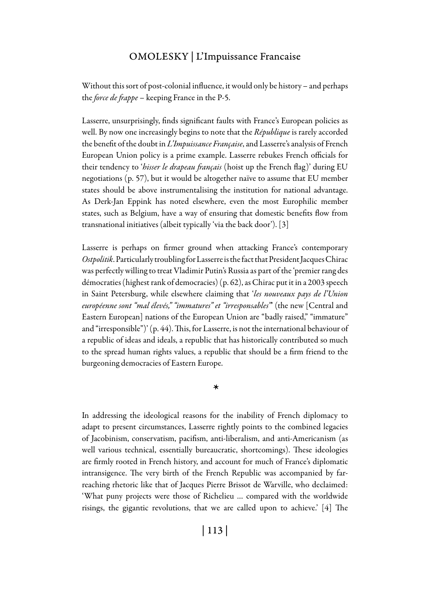Without this sort of post-colonial influence, it would only be history – and perhaps the *force de frappe* – keeping France in the P-5.

Lasserre, unsurprisingly, finds significant faults with France's European policies as well. By now one increasingly begins to note that the *République* is rarely accorded the benefit of the doubt in *L'Impuissance Française*, and Lasserre's analysis of French European Union policy is a prime example. Lasserre rebukes French officials for their tendency to '*hisser le drapeau français* (hoist up the French flag)' during EU negotiations (p. 57), but it would be altogether naïve to assume that EU member states should be above instrumentalising the institution for national advantage. As Derk-Jan Eppink has noted elsewhere, even the most Europhilic member states, such as Belgium, have a way of ensuring that domestic benefits flow from transnational initiatives (albeit typically 'via the back door'). [3]

Lasserre is perhaps on firmer ground when attacking France's contemporary *Ostpolitik*. Particularly troubling for Lasserre is the fact that President Jacques Chirac was perfectly willing to treat Vladimir Putin's Russia as part of the 'premier rang des démocraties (highest rank of democracies) (p. 62), as Chirac put it in a 2003 speech in Saint Petersburg, while elsewhere claiming that '*les nouveaux pays de l'Union européenne sont "mal élevés," "immatures" et "irresponsables"*' (the new [Central and Eastern European] nations of the European Union are "badly raised," "immature" and "irresponsible")' (p. 44). This, for Lasserre, is not the international behaviour of a republic of ideas and ideals, a republic that has historically contributed so much to the spread human rights values, a republic that should be a firm friend to the burgeoning democracies of Eastern Europe.

*\**

In addressing the ideological reasons for the inability of French diplomacy to adapt to present circumstances, Lasserre rightly points to the combined legacies of Jacobinism, conservatism, pacifism, anti-liberalism, and anti-Americanism (as well various technical, essentially bureaucratic, shortcomings). These ideologies are firmly rooted in French history, and account for much of France's diplomatic intransigence. The very birth of the French Republic was accompanied by farreaching rhetoric like that of Jacques Pierre Brissot de Warville, who declaimed: 'What puny projects were those of Richelieu … compared with the worldwide risings, the gigantic revolutions, that we are called upon to achieve.' [4] The

| 113 |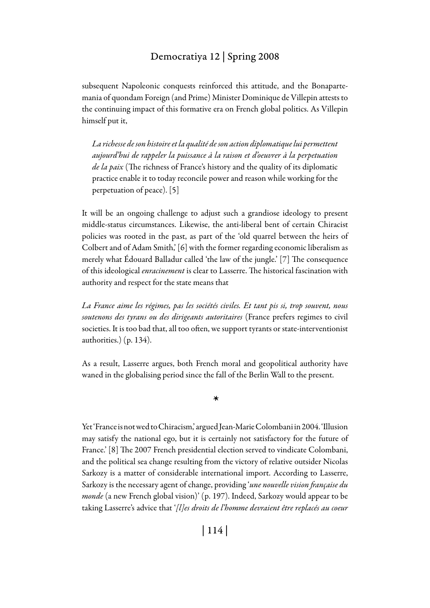#### Democratiya 12 | Spring 2008

subsequent Napoleonic conquests reinforced this attitude, and the Bonapartemania of quondam Foreign (and Prime) Minister Dominique de Villepin attests to the continuing impact of this formative era on French global politics. As Villepin himself put it,

*La richesse de son histoire et la qualité de son action diplomatique lui permettent aujourd'hui de rappeler la puissance à la raison et d'oeuvrer à la perpetuation de la paix* (The richness of France's history and the quality of its diplomatic practice enable it to today reconcile power and reason while working for the perpetuation of peace). [5]

It will be an ongoing challenge to adjust such a grandiose ideology to present middle-status circumstances. Likewise, the anti-liberal bent of certain Chiracist policies was rooted in the past, as part of the 'old quarrel between the heirs of Colbert and of Adam Smith,' [6] with the former regarding economic liberalism as merely what Édouard Balladur called 'the law of the jungle.' [7] The consequence of this ideological *enracinement* is clear to Lasserre. The historical fascination with authority and respect for the state means that

*La France aime les régimes, pas les sociétés civiles. Et tant pis si, trop souvent, nous soutenons des tyrans ou des dirigeants autoritaires* (France prefers regimes to civil societies. It is too bad that, all too often, we support tyrants or state-interventionist authorities.) (p. 134).

As a result, Lasserre argues, both French moral and geopolitical authority have waned in the globalising period since the fall of the Berlin Wall to the present.

*\**

Yet 'France is not wed to Chiracism,' argued Jean-Marie Colombani in 2004. 'Illusion may satisfy the national ego, but it is certainly not satisfactory for the future of France.' [8] The 2007 French presidential election served to vindicate Colombani, and the political sea change resulting from the victory of relative outsider Nicolas Sarkozy is a matter of considerable international import. According to Lasserre, Sarkozy is the necessary agent of change, providing '*une nouvelle vision française du monde* (a new French global vision)' (p. 197). Indeed, Sarkozy would appear to be taking Lasserre's advice that '*[l]es droits de l'homme devraient être replacés au coeur* 

| 114 |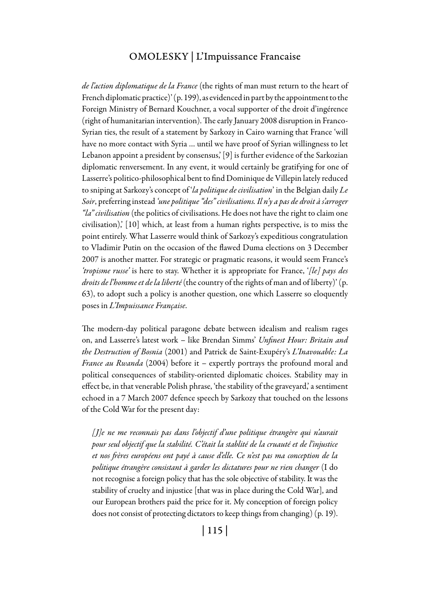*de l'action diplomatique de la France* (the rights of man must return to the heart of French diplomatic practice)' (p. 199), as evidenced in part by the appointment to the Foreign Ministry of Bernard Kouchner, a vocal supporter of the droit d'ingérence (right of humanitarian intervention). The early January 2008 disruption in Franco-Syrian ties, the result of a statement by Sarkozy in Cairo warning that France 'will have no more contact with Syria … until we have proof of Syrian willingness to let Lebanon appoint a president by consensus,' [9] is further evidence of the Sarkozian diplomatic renversement. In any event, it would certainly be gratifying for one of Lasserre's politico-philosophical bent to find Dominique de Villepin lately reduced to sniping at Sarkozy's concept of '*la politique de civilisation*' in the Belgian daily *Le Soir*, preferring instead *'une politique "des" civilisations. Il n'y a pas de droit à s'arroger "la" civilisation* (the politics of civilisations. He does not have the right to claim one civilisation),' [10] which, at least from a human rights perspective, is to miss the point entirely. What Lasserre would think of Sarkozy's expeditious congratulation to Vladimir Putin on the occasion of the flawed Duma elections on 3 December 2007 is another matter. For strategic or pragmatic reasons, it would seem France's *'tropisme russe'* is here to stay. Whether it is appropriate for France, '*[le] pays des droits de l'homme et de la liberté* (the country of the rights of man and of liberty)' (p. 63), to adopt such a policy is another question, one which Lasserre so eloquently poses in *L'Impuissance Française*.

The modern-day political paragone debate between idealism and realism rages on, and Lasserre's latest work – like Brendan Simms' *Unfinest Hour: Britain and the Destruction of Bosnia* (2001) and Patrick de Saint-Exupéry's *L'Inavouable: La France au Rwanda* (2004) before it – expertly portrays the profound moral and political consequences of stability-oriented diplomatic choices. Stability may in effect be, in that venerable Polish phrase, 'the stability of the graveyard,' a sentiment echoed in a 7 March 2007 defence speech by Sarkozy that touched on the lessons of the Cold War for the present day:

*[J]e ne me reconnais pas dans l'objectif d'une politique étrangère qui n'aurait pour seul objectif que la stabilité. C'était la stablité de la cruauté et de l'injustice et nos frères européens ont payé à cause d'elle. Ce n'est pas ma conception de la politique étrangère consistant à garder les dictatures pour ne rien changer* (I do not recognise a foreign policy that has the sole objective of stability. It was the stability of cruelty and injustice [that was in place during the Cold War], and our European brothers paid the price for it. My conception of foreign policy does not consist of protecting dictators to keep things from changing) (p. 19).

| 115 |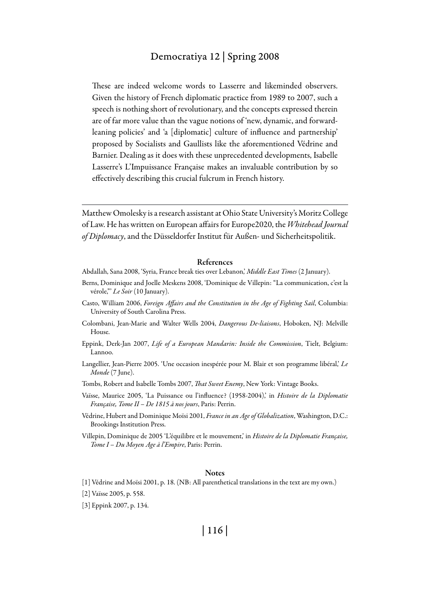#### Democratiya 12 | Spring 2008

These are indeed welcome words to Lasserre and likeminded observers. Given the history of French diplomatic practice from 1989 to 2007, such a speech is nothing short of revolutionary, and the concepts expressed therein are of far more value than the vague notions of 'new, dynamic, and forwardleaning policies' and 'a [diplomatic] culture of influence and partnership' proposed by Socialists and Gaullists like the aforementioned Védrine and Barnier. Dealing as it does with these unprecedented developments, Isabelle Lasserre's L'Impuissance Française makes an invaluable contribution by so effectively describing this crucial fulcrum in French history.

Matthew Omolesky is a research assistant at Ohio State University's Moritz College of Law. He has written on European affairs for Europe2020, the *Whitehead Journal of Diplomacy*, and the Düsseldorfer Institut für Außen- und Sicherheitspolitik.

#### References

- Abdallah, Sana 2008, 'Syria, France break ties over Lebanon,' *Middle East Times* (2 January).
- Berns, Dominique and Joelle Meskens 2008, 'Dominique de Villepin: "La communication, c'est la vérole,"' *Le Soir* (10 January).
- Casto, William 2006, *Foreign Affairs and the Constitution in the Age of Fighting Sail*, Columbia: University of South Carolina Press.
- Colombani, Jean-Marie and Walter Wells 2004, *Dangerous De-liaisons*, Hoboken, NJ: Melville House.
- Eppink, Derk-Jan 2007, *Life of a European Mandarin: Inside the Commission*, Tielt, Belgium: Lannoo.
- Langellier, Jean-Pierre 2005. 'Une occasion inespérée pour M. Blair et son programme libéral,' *Le Monde* (7 June).
- Tombs, Robert and Isabelle Tombs 2007, *That Sweet Enemy*, New York: Vintage Books.
- Vaïsse, Maurice 2005, 'La Puissance ou l'influence? (1958-2004),' in *Histoire de la Diplomatie Française, Tome II – De 1815 à nos jours*, Paris: Perrin.
- Védrine, Hubert and Dominique Moïsi 2001, *France in an Age of Globalization*, Washington, D.C.: Brookings Institution Press.
- Villepin, Dominique de 2005 'L'équilibre et le mouvement,' in *Histoire de la Diplomatie Française, Tome I – Du Moyen Age à l'Empire*, Paris: Perrin.

#### **Notes**

- [1] Védrine and Moïsi 2001, p. 18. (NB: All parenthetical translations in the text are my own.)
- [2] Vaïsse 2005, p. 558.
- [3] Eppink 2007, p. 134.

## | 116 |